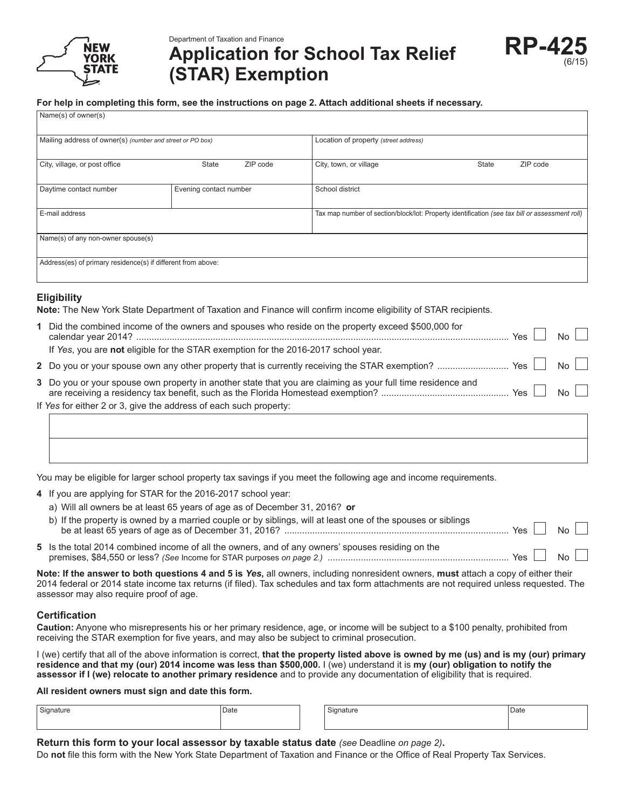

Name(s) of owner(s)

Department of Taxation and Finance

# **Application for School Tax Relief (STAR) Exemption**

#### **For help in completing this form, see the instructions on page 2. Attach additional sheets if necessary.**

| $\frac{1}{2}$                                                |                        |                                       |                                                                                                |       |          |
|--------------------------------------------------------------|------------------------|---------------------------------------|------------------------------------------------------------------------------------------------|-------|----------|
| Mailing address of owner(s) (number and street or PO box)    |                        | Location of property (street address) |                                                                                                |       |          |
| City, village, or post office                                | State                  | ZIP code                              | City, town, or village                                                                         | State | ZIP code |
| Daytime contact number                                       | Evening contact number |                                       | School district                                                                                |       |          |
| E-mail address                                               |                        |                                       | Tax map number of section/block/lot: Property identification (see tax bill or assessment roll) |       |          |
| Name(s) of any non-owner spouse(s)                           |                        |                                       |                                                                                                |       |          |
| Address(es) of primary residence(s) if different from above: |                        |                                       |                                                                                                |       |          |

### **Eligibility**

**Note:** The New York State Department of Taxation and Finance will confirm income eligibility of STAR recipients.

| 1 Did the combined income of the owners and spouses who reside on the property exceed \$500,000 for         | $Yes \mid \mid No \mid \mid$ |  |  |
|-------------------------------------------------------------------------------------------------------------|------------------------------|--|--|
| If Yes, you are not eligible for the STAR exemption for the 2016-2017 school year.                          |                              |  |  |
|                                                                                                             |                              |  |  |
| 3 Do you or your spouse own property in another state that you are claiming as your full time residence and |                              |  |  |
| If Yes for either 2 or 3, give the address of each such property:                                           |                              |  |  |
|                                                                                                             |                              |  |  |

You may be eligible for larger school property tax savings if you meet the following age and income requirements.

- **4** If you are applying for STAR for the 2016-2017 school year:
	- a) Will all owners be at least 65 years of age as of December 31, 2016? **or**

| b) If the property is owned by a married couple or by siblings, will at least one of the spouses or siblings | Yes $\vert$ $\vert$ | N <sub>O</sub> |  |
|--------------------------------------------------------------------------------------------------------------|---------------------|----------------|--|
| 5 Is the total 2014 combined income of all the owners, and of any owners' spouses residing on the            | $Yes \mid$          | No             |  |

**Note: If the answer to both questions 4 and 5 is** *Yes***,** all owners, including nonresident owners, **must** attach a copy of either their 2014 federal or 2014 state income tax returns (if filed). Tax schedules and tax form attachments are not required unless requested. The assessor may also require proof of age.

#### **Certification**

**Caution:** Anyone who misrepresents his or her primary residence, age, or income will be subject to a \$100 penalty, prohibited from receiving the STAR exemption for five years, and may also be subject to criminal prosecution.

I (we) certify that all of the above information is correct, **that the property listed above is owned by me (us) and is my (our) primary residence and that my (our) 2014 income was less than \$500,000.** I (we) understand it is **my (our) obligation to notify the assessor if I (we) relocate to another primary residence** and to provide any documentation of eligibility that is required.

**All resident owners must sign and date this form.**

| °ignature | Date | natur | Date<br>. |
|-----------|------|-------|-----------|
|           |      |       |           |

**Return this form to your local assessor by taxable status date** *(see* Deadline *on page 2)***.**

Do **not** file this form with the New York State Department of Taxation and Finance or the Office of Real Property Tax Services.